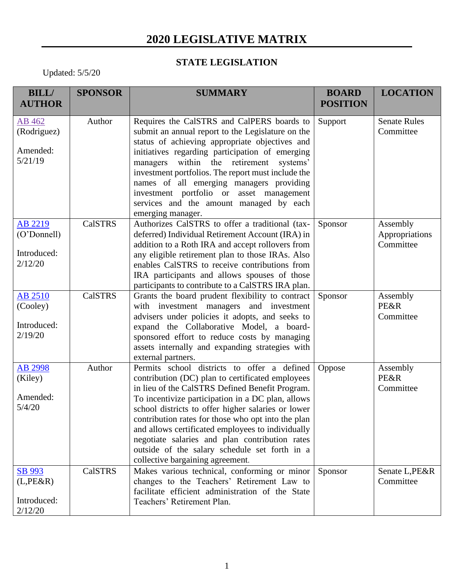## **2020 LEGISLATIVE MATRIX**

## **STATE LEGISLATION**

Updated: 5/5/20

| <b>BILL/</b>                                         | <b>SPONSOR</b> | <b>SUMMARY</b>                                                                                                                                                                                                                                                                                                                                                                                                                                                                                                  | <b>BOARD</b>    | <b>LOCATION</b>                          |
|------------------------------------------------------|----------------|-----------------------------------------------------------------------------------------------------------------------------------------------------------------------------------------------------------------------------------------------------------------------------------------------------------------------------------------------------------------------------------------------------------------------------------------------------------------------------------------------------------------|-----------------|------------------------------------------|
| <b>AUTHOR</b>                                        |                |                                                                                                                                                                                                                                                                                                                                                                                                                                                                                                                 | <b>POSITION</b> |                                          |
| AB 462<br>(Rodriguez)<br>Amended:<br>5/21/19         | Author         | Requires the CalSTRS and CalPERS boards to<br>submit an annual report to the Legislature on the<br>status of achieving appropriate objectives and<br>initiatives regarding participation of emerging<br>within the retirement systems'<br>managers<br>investment portfolios. The report must include the<br>names of all emerging managers providing<br>investment portfolio or asset management<br>services and the amount managed by each<br>emerging manager.                                                | Support         | <b>Senate Rules</b><br>Committee         |
| AB 2219<br>(O'Donnell)<br>Introduced:<br>2/12/20     | <b>CalSTRS</b> | Authorizes CalSTRS to offer a traditional (tax-<br>deferred) Individual Retirement Account (IRA) in<br>addition to a Roth IRA and accept rollovers from<br>any eligible retirement plan to those IRAs. Also<br>enables CalSTRS to receive contributions from<br>IRA participants and allows spouses of those<br>participants to contribute to a CalSTRS IRA plan.                                                                                                                                               | Sponsor         | Assembly<br>Appropriations<br>Committee  |
| <b>AB 2510</b><br>(Cooley)<br>Introduced:<br>2/19/20 | <b>CalSTRS</b> | Grants the board prudent flexibility to contract<br>with investment managers and investment<br>advisers under policies it adopts, and seeks to<br>expand the Collaborative Model, a board-<br>sponsored effort to reduce costs by managing<br>assets internally and expanding strategies with<br>external partners.                                                                                                                                                                                             | Sponsor         | Assembly<br><b>PE&amp;R</b><br>Committee |
| <b>AB 2998</b><br>(Kiley)<br>Amended:<br>5/4/20      | Author         | Permits school districts to offer a defined<br>contribution (DC) plan to certificated employees<br>in lieu of the CalSTRS Defined Benefit Program.<br>To incentivize participation in a DC plan, allows<br>school districts to offer higher salaries or lower<br>contribution rates for those who opt into the plan<br>and allows certificated employees to individually<br>negotiate salaries and plan contribution rates<br>outside of the salary schedule set forth in a<br>collective bargaining agreement. | Oppose          | Assembly<br><b>PE&amp;R</b><br>Committee |
| SB 993<br>$(L,PE\&R)$<br>Introduced:<br>2/12/20      | <b>CalSTRS</b> | Makes various technical, conforming or minor<br>changes to the Teachers' Retirement Law to<br>facilitate efficient administration of the State<br>Teachers' Retirement Plan.                                                                                                                                                                                                                                                                                                                                    | Sponsor         | Senate L, PE&R<br>Committee              |